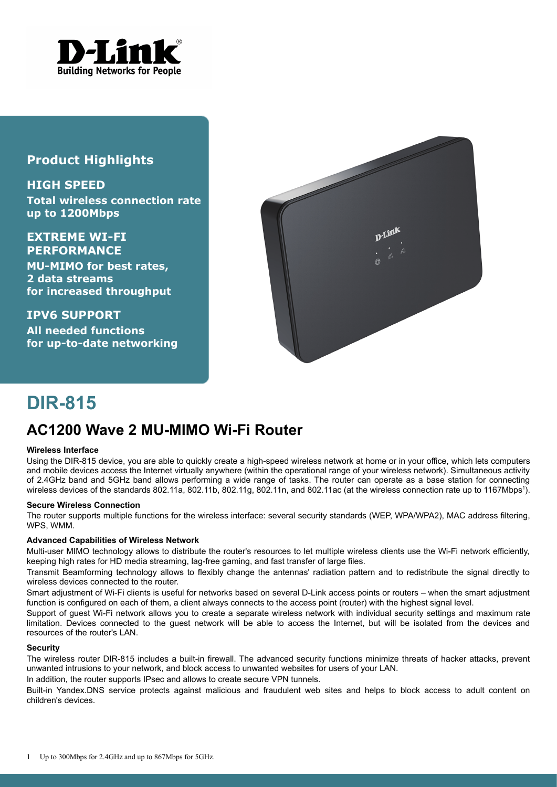

### **Product Highlights**

**HIGH SPEED Total wireless connection rate up to 1200Mbps**

**EXTREME WI-FI PERFORMANCE**

**MU-MIMO for best rates, 2 data streams for increased throughput**

**IPV6 SUPPORT All needed functions for up-to-date networking**



# **DIR-815**

## **AC1200 Wave 2 MU-MIMO Wi-Fi Router**

#### **Wireless Interface**

Using the DIR-815 device, you are able to quickly create a high-speed wireless network at home or in your office, which lets computers and mobile devices access the Internet virtually anywhere (within the operational range of your wireless network). Simultaneous activity of 2.4GHz band and 5GHz band allows performing a wide range of tasks. The router can operate as a base station for connecting wireless devices of the standards 802.[1](#page-0-0)1a, 802.11b, 802.11g, 802.11n, and 802.11ac (at the wireless connection rate up to 1167Mbps<sup>1</sup>).

#### **Secure Wireless Connection**

The router supports multiple functions for the wireless interface: several security standards (WEP, WPA/WPA2), MAC address filtering, WPS, WMM.

#### **Advanced Capabilities of Wireless Network**

Multi-user MIMO technology allows to distribute the router's resources to let multiple wireless clients use the Wi-Fi network efficiently, keeping high rates for HD media streaming, lag-free gaming, and fast transfer of large files.

Transmit Beamforming technology allows to flexibly change the antennas' radiation pattern and to redistribute the signal directly to wireless devices connected to the router.

Smart adjustment of Wi-Fi clients is useful for networks based on several D-Link access points or routers – when the smart adjustment function is configured on each of them, a client always connects to the access point (router) with the highest signal level.

Support of guest Wi-Fi network allows you to create a separate wireless network with individual security settings and maximum rate limitation. Devices connected to the guest network will be able to access the Internet, but will be isolated from the devices and resources of the router's LAN.

#### **Security**

The wireless router DIR-815 includes a built-in firewall. The advanced security functions minimize threats of hacker attacks, prevent unwanted intrusions to your network, and block access to unwanted websites for users of your LAN.

In addition, the router supports IPsec and allows to create secure VPN tunnels.

<span id="page-0-0"></span>Built-in Yandex.DNS service protects against malicious and fraudulent web sites and helps to block access to adult content on children's devices.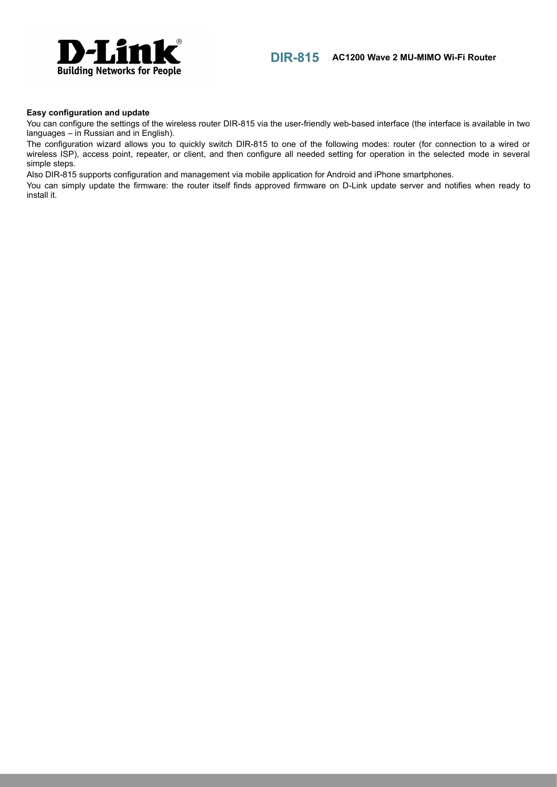



#### **Easy configuration and update**

You can configure the settings of the wireless router DIR-815 via the user-friendly web-based interface (the interface is available in two languages – in Russian and in English).

The configuration wizard allows you to quickly switch DIR-815 to one of the following modes: router (for connection to a wired or wireless ISP), access point, repeater, or client, and then configure all needed setting for operation in the selected mode in several simple steps.

Also DIR-815 supports configuration and management via mobile application for Android and iPhone smartphones.

You can simply update the firmware: the router itself finds approved firmware on D-Link update server and notifies when ready to install it.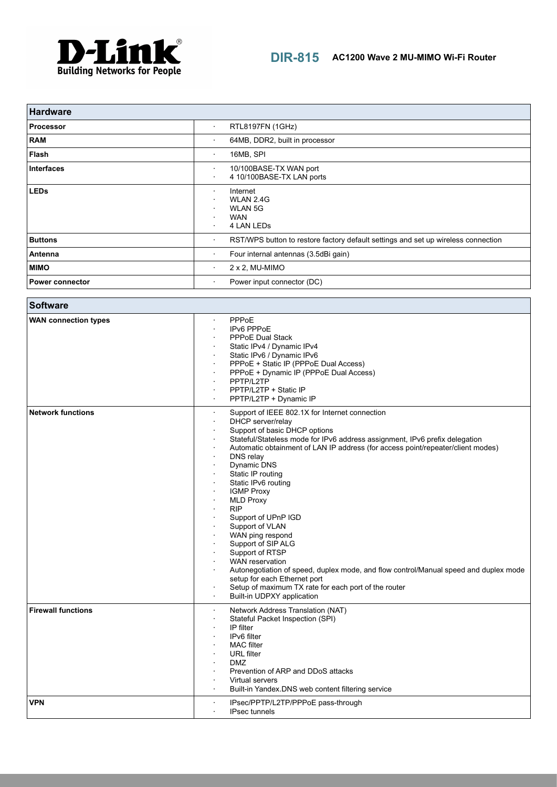

| <b>Hardware</b>        |                                                                                              |
|------------------------|----------------------------------------------------------------------------------------------|
| <b>Processor</b>       | RTL8197FN (1GHz)<br>$\bullet$                                                                |
| <b>RAM</b>             | 64MB, DDR2, built in processor<br>٠                                                          |
| Flash                  | 16MB, SPI<br>$\cdot$                                                                         |
| <b>Interfaces</b>      | 10/100BASE-TX WAN port<br>٠<br>4 10/100BASE-TX LAN ports<br>$\cdot$                          |
| <b>LEDs</b>            | Internet<br>$\cdot$<br>WLAN 2.4G<br><b>WLAN 5G</b><br>٠<br><b>WAN</b><br>4 LAN LEDS<br>٠     |
| <b>Buttons</b>         | RST/WPS button to restore factory default settings and set up wireless connection<br>$\cdot$ |
| Antenna                | Four internal antennas (3.5dBi gain)<br>$\cdot$                                              |
| <b>MIMO</b>            | $2 \times 2$ , MU-MIMO<br>٠                                                                  |
| <b>Power connector</b> | Power input connector (DC)<br>٠                                                              |

| <b>Software</b>             |                                                                                                                                                                                                                                                                                                                                                                                                                                                                                                                                                                                                                                                                                                                                                                 |
|-----------------------------|-----------------------------------------------------------------------------------------------------------------------------------------------------------------------------------------------------------------------------------------------------------------------------------------------------------------------------------------------------------------------------------------------------------------------------------------------------------------------------------------------------------------------------------------------------------------------------------------------------------------------------------------------------------------------------------------------------------------------------------------------------------------|
| <b>WAN connection types</b> | <b>PPPoE</b><br>IPv6 PPPoE<br>PPPoE Dual Stack<br>Static IPv4 / Dynamic IPv4<br>Static IPv6 / Dynamic IPv6<br>PPPoE + Static IP (PPPoE Dual Access)<br>PPPoE + Dynamic IP (PPPoE Dual Access)<br>PPTP/L2TP<br>PPTP/L2TP + Static IP<br>PPTP/L2TP + Dynamic IP                                                                                                                                                                                                                                                                                                                                                                                                                                                                                                   |
| <b>Network functions</b>    | Support of IEEE 802.1X for Internet connection<br>$\cdot$<br>DHCP server/relay<br>Support of basic DHCP options<br>Stateful/Stateless mode for IPv6 address assignment, IPv6 prefix delegation<br>Automatic obtainment of LAN IP address (for access point/repeater/client modes)<br>DNS relay<br>Dynamic DNS<br>Static IP routing<br>Static IPv6 routing<br><b>IGMP Proxy</b><br><b>MLD Proxy</b><br><b>RIP</b><br>Support of UPnP IGD<br>Support of VLAN<br>WAN ping respond<br>Support of SIP ALG<br>Support of RTSP<br><b>WAN</b> reservation<br>Autonegotiation of speed, duplex mode, and flow control/Manual speed and duplex mode<br>setup for each Ethernet port<br>Setup of maximum TX rate for each port of the router<br>Built-in UDPXY application |
| <b>Firewall functions</b>   | Network Address Translation (NAT)<br>Stateful Packet Inspection (SPI)<br>IP filter<br>IPv6 filter<br><b>MAC</b> filter<br><b>URL</b> filter<br><b>DMZ</b><br>Prevention of ARP and DDoS attacks<br>Virtual servers<br>Built-in Yandex.DNS web content filtering service<br>$\mathbf{r}$                                                                                                                                                                                                                                                                                                                                                                                                                                                                         |
| <b>VPN</b>                  | IPsec/PPTP/L2TP/PPPoE pass-through<br><b>IPsec tunnels</b><br>$\mathbf{r}$                                                                                                                                                                                                                                                                                                                                                                                                                                                                                                                                                                                                                                                                                      |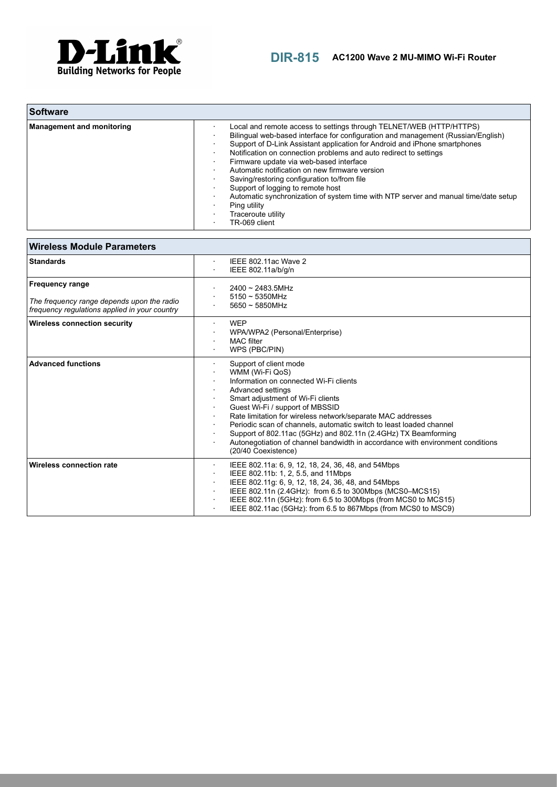

| <b>Software</b>                  |                                                                                                                                                                                                                                                                                                                                                                                                                                                                                                                                                                                                                                           |
|----------------------------------|-------------------------------------------------------------------------------------------------------------------------------------------------------------------------------------------------------------------------------------------------------------------------------------------------------------------------------------------------------------------------------------------------------------------------------------------------------------------------------------------------------------------------------------------------------------------------------------------------------------------------------------------|
| <b>Management and monitoring</b> | Local and remote access to settings through TELNET/WEB (HTTP/HTTPS)<br>Bilingual web-based interface for configuration and management (Russian/English)<br>Support of D-Link Assistant application for Android and iPhone smartphones<br>Notification on connection problems and auto redirect to settings<br>Firmware update via web-based interface<br>Automatic notification on new firmware version<br>Saving/restoring configuration to/from file<br>Support of logging to remote host<br>Automatic synchronization of system time with NTP server and manual time/date setup<br>Ping utility<br>Traceroute utility<br>TR-069 client |

| <b>Wireless Module Parameters</b>                                                                                     |                                                                                                                                                                                                                                                                                                                                                                                                                                                                                                   |
|-----------------------------------------------------------------------------------------------------------------------|---------------------------------------------------------------------------------------------------------------------------------------------------------------------------------------------------------------------------------------------------------------------------------------------------------------------------------------------------------------------------------------------------------------------------------------------------------------------------------------------------|
| <b>Standards</b>                                                                                                      | IEEE 802.11ac Wave 2<br>$\sim$<br>IEEE 802.11a/b/g/n                                                                                                                                                                                                                                                                                                                                                                                                                                              |
| <b>Frequency range</b><br>The frequency range depends upon the radio<br>frequency requiations applied in your country | $2400 \sim 2483.5$ MHz<br>$5150 \sim 5350$ MHz<br>$5650 \sim 5850$ MHz                                                                                                                                                                                                                                                                                                                                                                                                                            |
| <b>Wireless connection security</b>                                                                                   | <b>WEP</b><br>WPA/WPA2 (Personal/Enterprise)<br><b>MAC</b> filter<br>WPS (PBC/PIN)                                                                                                                                                                                                                                                                                                                                                                                                                |
| <b>Advanced functions</b>                                                                                             | Support of client mode<br>WMM (Wi-Fi QoS)<br>Information on connected Wi-Fi clients<br>Advanced settings<br>Smart adjustment of Wi-Fi clients<br>Guest Wi-Fi / support of MBSSID<br>Rate limitation for wireless network/separate MAC addresses<br>Periodic scan of channels, automatic switch to least loaded channel<br>Support of 802.11ac (5GHz) and 802.11n (2.4GHz) TX Beamforming<br>Autonegotiation of channel bandwidth in accordance with environment conditions<br>(20/40 Coexistence) |
| Wireless connection rate                                                                                              | IEEE 802.11a: 6, 9, 12, 18, 24, 36, 48, and 54Mbps<br>IEEE 802.11b: 1, 2, 5.5, and 11Mbps<br>IEEE 802.11g: 6, 9, 12, 18, 24, 36, 48, and 54Mbps<br>$\sim$<br>IEEE 802.11n (2.4GHz): from 6.5 to 300Mbps (MCS0-MCS15)<br>IEEE 802.11n (5GHz): from 6.5 to 300Mbps (from MCS0 to MCS15)<br>IEEE 802.11ac (5GHz): from 6.5 to 867Mbps (from MCS0 to MSC9)                                                                                                                                            |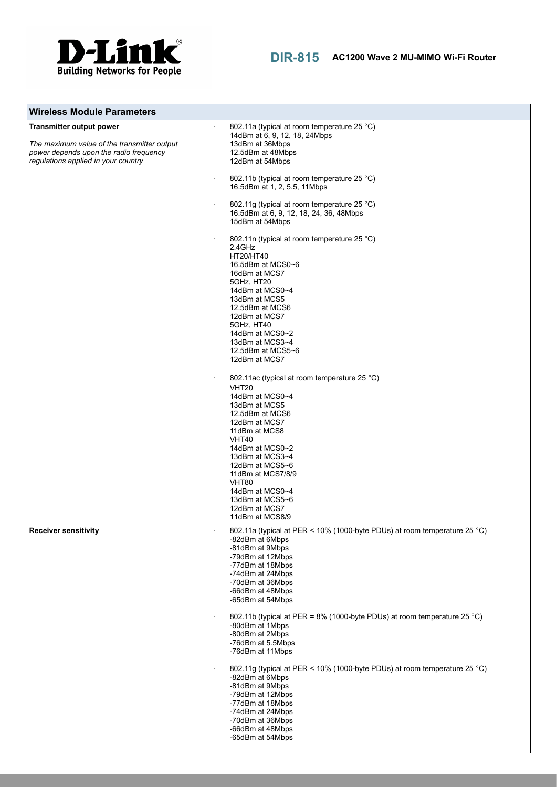

| <b>Wireless Module Parameters</b>                                                                                                                               |                                                                                                                                                                                                                                                                                                                                                                                                                                                                                                                                                                                                                                                                                                                                                                                                                                                                                                                                                                    |
|-----------------------------------------------------------------------------------------------------------------------------------------------------------------|--------------------------------------------------------------------------------------------------------------------------------------------------------------------------------------------------------------------------------------------------------------------------------------------------------------------------------------------------------------------------------------------------------------------------------------------------------------------------------------------------------------------------------------------------------------------------------------------------------------------------------------------------------------------------------------------------------------------------------------------------------------------------------------------------------------------------------------------------------------------------------------------------------------------------------------------------------------------|
| <b>Transmitter output power</b><br>The maximum value of the transmitter output<br>power depends upon the radio frequency<br>regulations applied in your country | 802.11a (typical at room temperature 25 °C)<br>14dBm at 6, 9, 12, 18, 24Mbps<br>13dBm at 36Mbps<br>12.5dBm at 48Mbps<br>12dBm at 54Mbps<br>802.11b (typical at room temperature 25 °C)<br>16.5dBm at 1, 2, 5.5, 11Mbps<br>802.11g (typical at room temperature 25 °C)<br>16.5dBm at 6, 9, 12, 18, 24, 36, 48Mbps<br>15dBm at 54Mbps<br>802.11n (typical at room temperature 25 °C)<br>2.4GHz<br>HT20/HT40<br>16.5dBm at MCS0~6<br>16dBm at MCS7<br>5GHz, HT20<br>14dBm at MCS0~4<br>13dBm at MCS5<br>12.5dBm at MCS6<br>12dBm at MCS7<br>5GHz, HT40<br>14dBm at MCS0~2<br>13dBm at MCS3~4<br>12.5dBm at MCS5~6<br>12dBm at MCS7<br>802.11ac (typical at room temperature 25 °C)<br><b>VHT20</b><br>14dBm at MCS0~4<br>13dBm at MCS5<br>12.5dBm at MCS6<br>12dBm at MCS7<br>11dBm at MCS8<br>VHT40<br>14dBm at MCS0~2<br>13dBm at MCS3~4<br>12dBm at MCS5~6<br>11dBm at MCS7/8/9<br>VHT80<br>14dBm at MCS0~4<br>13dBm at MCS5~6<br>12dBm at MCS7<br>11dBm at MCS8/9 |
| <b>Receiver sensitivity</b>                                                                                                                                     | 802.11a (typical at PER < 10% (1000-byte PDUs) at room temperature 25 °C)<br>-82dBm at 6Mbps<br>-81dBm at 9Mbps<br>-79dBm at 12Mbps<br>-77dBm at 18Mbps<br>-74dBm at 24Mbps<br>-70dBm at 36Mbps<br>-66dBm at 48Mbps<br>-65dBm at 54Mbps<br>802.11b (typical at PER = 8% (1000-byte PDUs) at room temperature 25 °C)<br>-80dBm at 1Mbps<br>-80dBm at 2Mbps<br>-76dBm at 5.5Mbps<br>-76dBm at 11Mbps<br>802.11g (typical at PER < 10% (1000-byte PDUs) at room temperature 25 °C)<br>-82dBm at 6Mbps<br>-81dBm at 9Mbps<br>-79dBm at 12Mbps<br>-77dBm at 18Mbps<br>-74dBm at 24Mbps<br>-70dBm at 36Mbps<br>-66dBm at 48Mbps<br>-65dBm at 54Mbps                                                                                                                                                                                                                                                                                                                      |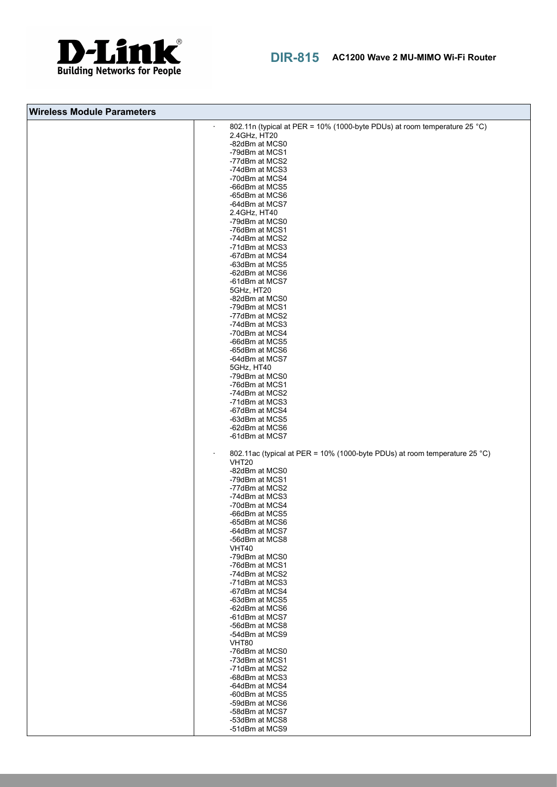

| <b>Wireless Module Parameters</b> |                                                                                       |
|-----------------------------------|---------------------------------------------------------------------------------------|
|                                   | 802.11n (typical at PER = 10% (1000-byte PDUs) at room temperature 25 °C)             |
|                                   | 2.4GHz, HT20                                                                          |
|                                   | -82dBm at MCS0<br>-79dBm at MCS1                                                      |
|                                   | -77dBm at MCS2                                                                        |
|                                   | -74dBm at MCS3                                                                        |
|                                   | -70dBm at MCS4                                                                        |
|                                   | -66dBm at MCS5<br>-65dBm at MCS6                                                      |
|                                   | -64dBm at MCS7                                                                        |
|                                   | 2.4GHz, HT40                                                                          |
|                                   | -79dBm at MCS0                                                                        |
|                                   | -76dBm at MCS1                                                                        |
|                                   | -74dBm at MCS2<br>-71dBm at MCS3                                                      |
|                                   | -67dBm at MCS4                                                                        |
|                                   | -63dBm at MCS5                                                                        |
|                                   | -62dBm at MCS6                                                                        |
|                                   | -61dBm at MCS7                                                                        |
|                                   | 5GHz, HT20<br>-82dBm at MCS0                                                          |
|                                   | -79dBm at MCS1                                                                        |
|                                   | -77dBm at MCS2                                                                        |
|                                   | -74dBm at MCS3                                                                        |
|                                   | -70dBm at MCS4<br>-66dBm at MCS5                                                      |
|                                   | -65dBm at MCS6                                                                        |
|                                   | -64dBm at MCS7                                                                        |
|                                   | 5GHz, HT40                                                                            |
|                                   | -79dBm at MCS0                                                                        |
|                                   | -76dBm at MCS1<br>-74dBm at MCS2                                                      |
|                                   | -71dBm at MCS3                                                                        |
|                                   | -67dBm at MCS4                                                                        |
|                                   | -63dBm at MCS5                                                                        |
|                                   | -62dBm at MCS6<br>-61dBm at MCS7                                                      |
|                                   | 802.11ac (typical at PER = 10% (1000-byte PDUs) at room temperature 25 °C)<br>$\cdot$ |
|                                   | <b>VHT20</b>                                                                          |
|                                   | -82dBm at MCS0                                                                        |
|                                   | -79dBm at MCS1                                                                        |
|                                   | -77dBm at MCS2<br>-74dBm at MCS3                                                      |
|                                   | -70dBm at MCS4                                                                        |
|                                   | -66dBm at MCS5                                                                        |
|                                   | -65dBm at MCS6<br>-64dBm at MCS7                                                      |
|                                   | -56dBm at MCS8                                                                        |
|                                   | VHT40                                                                                 |
|                                   | -79dBm at MCS0                                                                        |
|                                   | -76dBm at MCS1<br>-74dBm at MCS2                                                      |
|                                   | -71dBm at MCS3                                                                        |
|                                   | -67dBm at MCS4                                                                        |
|                                   | -63dBm at MCS5                                                                        |
|                                   | -62dBm at MCS6<br>-61dBm at MCS7                                                      |
|                                   | -56dBm at MCS8                                                                        |
|                                   | -54dBm at MCS9                                                                        |
|                                   | <b>VHT80</b>                                                                          |
|                                   | -76dBm at MCS0                                                                        |
|                                   | -73dBm at MCS1<br>-71dBm at MCS2                                                      |
|                                   | -68dBm at MCS3                                                                        |
|                                   | -64dBm at MCS4                                                                        |
|                                   | -60dBm at MCS5                                                                        |
|                                   | -59dBm at MCS6<br>-58dBm at MCS7                                                      |
|                                   | -53dBm at MCS8                                                                        |
|                                   | -51dBm at MCS9                                                                        |